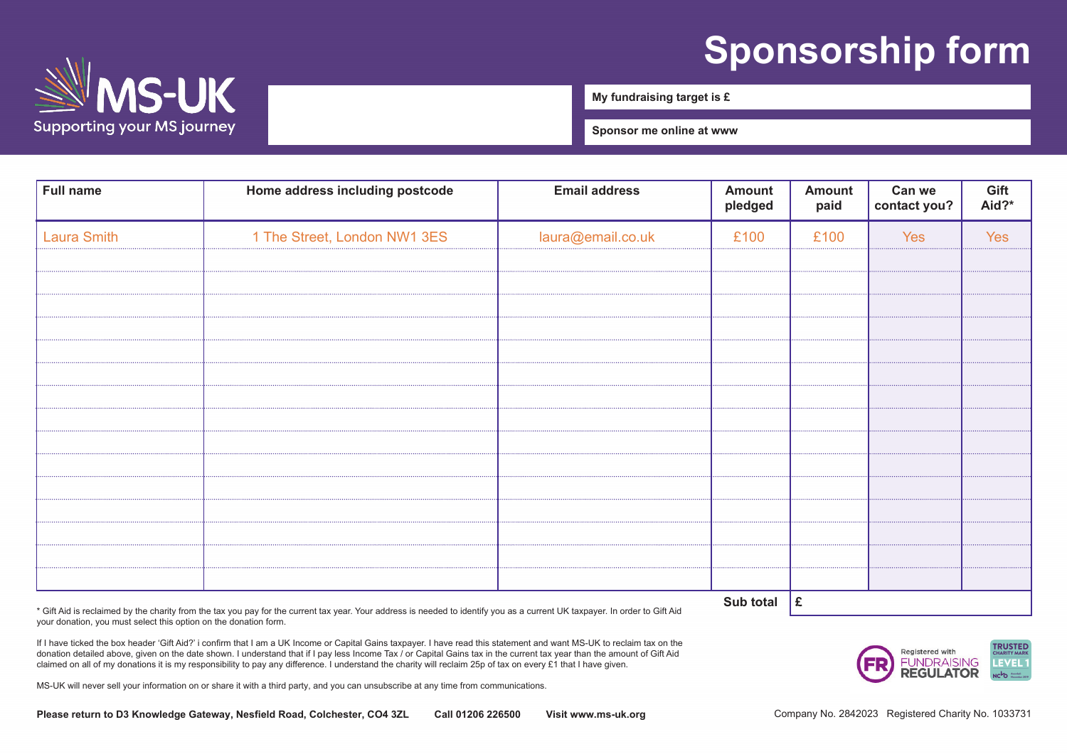## **Sponsorship form**



 $\mathcal{S}_{\mathcal{S}}$  supporting everyone with  $\mathcal{S}_{\mathcal{S}}$ 

**My fundraising target is £**

**Sponsor me online at www**

| <b>Full name</b>   | Home address including postcode | <b>Email address</b> | <b>Amount</b><br>pledged | <b>Amount</b><br>paid | Can we<br>contact you? | Gift<br>Aid?* |
|--------------------|---------------------------------|----------------------|--------------------------|-----------------------|------------------------|---------------|
| <b>Laura Smith</b> | 1 The Street, London NW1 3ES    | laura@email.co.uk    | £100                     | £100                  | Yes                    | Yes           |
|                    |                                 |                      |                          |                       |                        |               |
|                    |                                 |                      |                          |                       |                        |               |
|                    |                                 |                      |                          |                       |                        |               |
|                    |                                 |                      |                          |                       |                        |               |
|                    |                                 |                      |                          |                       |                        |               |
|                    |                                 |                      |                          |                       |                        |               |
|                    |                                 |                      |                          |                       |                        |               |
|                    |                                 |                      |                          |                       |                        |               |
|                    |                                 |                      |                          |                       |                        |               |
|                    |                                 |                      |                          |                       |                        |               |
|                    |                                 |                      |                          |                       |                        |               |
|                    |                                 |                      | Sub total $\mathbf{E}$   |                       |                        |               |

\* Gift Aid is reclaimed by the charity from the tax you pay for the current tax year. Your address is needed to identify you as a current UK taxpayer. In order to Gift Aid your donation, you must select this option on the donation form.

If I have ticked the box header 'Gift Aid?' i confirm that I am a UK Income or Capital Gains taxpayer. I have read this statement and want MS-UK to reclaim tax on the donation detailed above, given on the date shown. I understand that if I pay less Income Tax / or Capital Gains tax in the current tax year than the amount of Gift Aid claimed on all of my donations it is my responsibility to pay any difference. I understand the charity will reclaim 25p of tax on every £1 that I have given.

MS-UK will never sell your information on or share it with a third party, and you can unsubscribe at any time from communications.